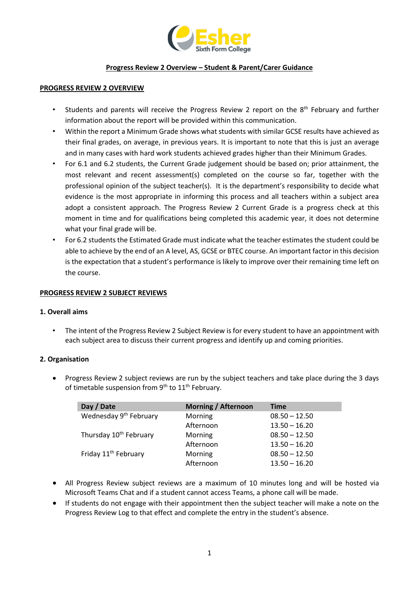

#### **Progress Review 2 Overview – Student & Parent/Carer Guidance**

#### **PROGRESS REVIEW 2 OVERVIEW**

- Students and parents will receive the Progress Review 2 report on the 8<sup>th</sup> February and further information about the report will be provided within this communication.
- Within the report a Minimum Grade shows what students with similar GCSE results have achieved as their final grades, on average, in previous years. It is important to note that this is just an average and in many cases with hard work students achieved grades higher than their Minimum Grades.
- For 6.1 and 6.2 students, the Current Grade judgement should be based on; prior attainment, the most relevant and recent assessment(s) completed on the course so far, together with the professional opinion of the subject teacher(s). It is the department's responsibility to decide what evidence is the most appropriate in informing this process and all teachers within a subject area adopt a consistent approach. The Progress Review 2 Current Grade is a progress check at this moment in time and for qualifications being completed this academic year, it does not determine what your final grade will be.
- For 6.2 students the Estimated Grade must indicate what the teacher estimates the student could be able to achieve by the end of an A level, AS, GCSE or BTEC course. An important factor in this decision is the expectation that a student's performance is likely to improve over their remaining time left on the course.

#### **PROGRESS REVIEW 2 SUBJECT REVIEWS**

#### **1. Overall aims**

• The intent of the Progress Review 2 Subject Review is for every student to have an appointment with each subject area to discuss their current progress and identify up and coming priorities.

#### **2. Organisation**

• Progress Review 2 subject reviews are run by the subject teachers and take place during the 3 days of timetable suspension from  $9<sup>th</sup>$  to  $11<sup>th</sup>$  February.

| Day / Date                         | <b>Morning / Afternoon</b> | <b>Time</b>     |
|------------------------------------|----------------------------|-----------------|
| Wednesday 9 <sup>th</sup> February | Morning                    | $08.50 - 12.50$ |
|                                    | Afternoon                  | $13.50 - 16.20$ |
| Thursday 10 <sup>th</sup> February | Morning                    | $08.50 - 12.50$ |
|                                    | Afternoon                  | $13.50 - 16.20$ |
| Friday 11 <sup>th</sup> February   | Morning                    | $08.50 - 12.50$ |
|                                    | Afternoon                  | $13.50 - 16.20$ |

- All Progress Review subject reviews are a maximum of 10 minutes long and will be hosted via Microsoft Teams Chat and if a student cannot access Teams, a phone call will be made.
- If students do not engage with their appointment then the subject teacher will make a note on the Progress Review Log to that effect and complete the entry in the student's absence.